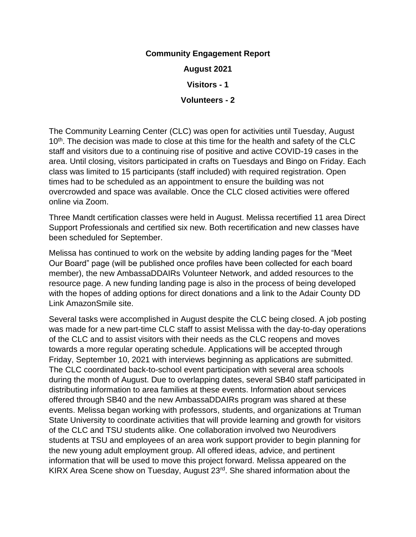## **Community Engagement Report**

**August 2021**

**Visitors - 1**

## **Volunteers - 2**

The Community Learning Center (CLC) was open for activities until Tuesday, August 10<sup>th</sup>. The decision was made to close at this time for the health and safety of the CLC staff and visitors due to a continuing rise of positive and active COVID-19 cases in the area. Until closing, visitors participated in crafts on Tuesdays and Bingo on Friday. Each class was limited to 15 participants (staff included) with required registration. Open times had to be scheduled as an appointment to ensure the building was not overcrowded and space was available. Once the CLC closed activities were offered online via Zoom.

Three Mandt certification classes were held in August. Melissa recertified 11 area Direct Support Professionals and certified six new. Both recertification and new classes have been scheduled for September.

Melissa has continued to work on the website by adding landing pages for the "Meet Our Board" page (will be published once profiles have been collected for each board member), the new AmbassaDDAIRs Volunteer Network, and added resources to the resource page. A new funding landing page is also in the process of being developed with the hopes of adding options for direct donations and a link to the Adair County DD Link AmazonSmile site.

Several tasks were accomplished in August despite the CLC being closed. A job posting was made for a new part-time CLC staff to assist Melissa with the day-to-day operations of the CLC and to assist visitors with their needs as the CLC reopens and moves towards a more regular operating schedule. Applications will be accepted through Friday, September 10, 2021 with interviews beginning as applications are submitted. The CLC coordinated back-to-school event participation with several area schools during the month of August. Due to overlapping dates, several SB40 staff participated in distributing information to area families at these events. Information about services offered through SB40 and the new AmbassaDDAIRs program was shared at these events. Melissa began working with professors, students, and organizations at Truman State University to coordinate activities that will provide learning and growth for visitors of the CLC and TSU students alike. One collaboration involved two Neurodivers students at TSU and employees of an area work support provider to begin planning for the new young adult employment group. All offered ideas, advice, and pertinent information that will be used to move this project forward. Melissa appeared on the KIRX Area Scene show on Tuesday, August 23<sup>rd</sup>. She shared information about the